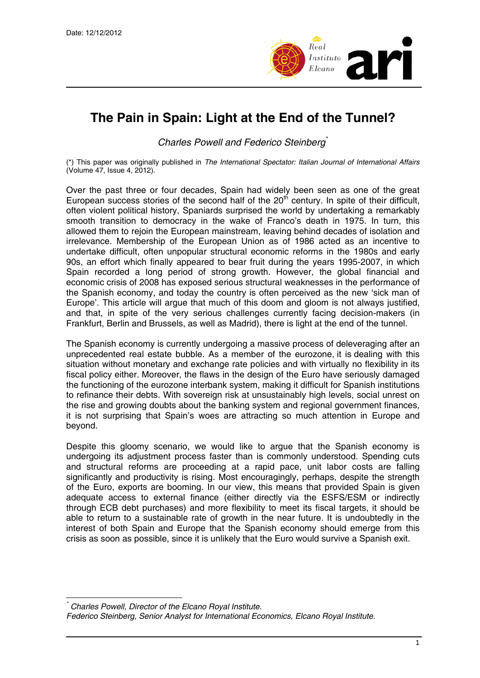

## **The Pain in Spain: Light at the End of the Tunnel?**

*Charles Powell and Federico Steinberg*[\\*](#page-0-0)

(\*) This paper was originally published in *The International Spectator: Italian Journal of International Affairs* (Volume 47, Issue 4, 2012).

Over the past three or four decades, Spain had widely been seen as one of the great European success stories of the second half of the  $20<sup>th</sup>$  century. In spite of their difficult, often violent political history, Spaniards surprised the world by undertaking a remarkably smooth transition to democracy in the wake of Franco's death in 1975. In turn, this allowed them to rejoin the European mainstream, leaving behind decades of isolation and irrelevance. Membership of the European Union as of 1986 acted as an incentive to undertake difficult, often unpopular structural economic reforms in the 1980s and early 90s, an effort which finally appeared to bear fruit during the years 1995-2007, in which Spain recorded a long period of strong growth. However, the global financial and economic crisis of 2008 has exposed serious structural weaknesses in the performance of the Spanish economy, and today the country is often perceived as the new 'sick man of Europe'. This article will argue that much of this doom and gloom is not always justified, and that, in spite of the very serious challenges currently facing decision-makers (in Frankfurt, Berlin and Brussels, as well as Madrid), there is light at the end of the tunnel.

The Spanish economy is currently undergoing a massive process of deleveraging after an unprecedented real estate bubble. As a member of the eurozone, it is dealing with this situation without monetary and exchange rate policies and with virtually no flexibility in its fiscal policy either. Moreover, the flaws in the design of the Euro have seriously damaged the functioning of the eurozone interbank system, making it difficult for Spanish institutions to refinance their debts. With sovereign risk at unsustainably high levels, social unrest on the rise and growing doubts about the banking system and regional government finances, it is not surprising that Spain's woes are attracting so much attention in Europe and beyond.

Despite this gloomy scenario, we would like to argue that the Spanish economy is undergoing its adjustment process faster than is commonly understood. Spending cuts and structural reforms are proceeding at a rapid pace, unit labor costs are falling significantly and productivity is rising. Most encouragingly, perhaps, despite the strength of the Euro, exports are booming. In our view, this means that provided Spain is given adequate access to external finance (either directly via the ESFS/ESM or indirectly through ECB debt purchases) and more flexibility to meet its fiscal targets, it should be able to return to a sustainable rate of growth in the near future. It is undoubtedly in the interest of both Spain and Europe that the Spanish economy should emerge from this crisis as soon as possible, since it is unlikely that the Euro would survive a Spanish exit.

<span id="page-0-0"></span> $\overline{a}$ *\* Charles Powell, Director of the Elcano Royal Institute.* 

*Federico Steinberg, Senior Analyst for International Economics, Elcano Royal Institute.*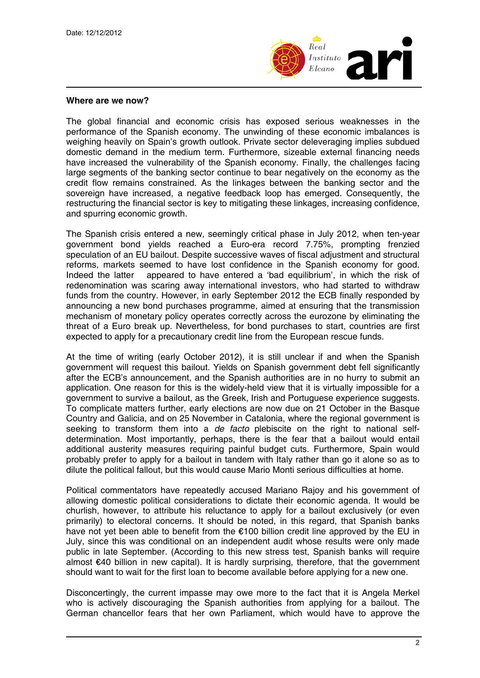

## **Where are we now?**

The global financial and economic crisis has exposed serious weaknesses in the performance of the Spanish economy. The unwinding of these economic imbalances is weighing heavily on Spain's growth outlook. Private sector deleveraging implies subdued domestic demand in the medium term. Furthermore, sizeable external financing needs have increased the vulnerability of the Spanish economy. Finally, the challenges facing large segments of the banking sector continue to bear negatively on the economy as the credit flow remains constrained. As the linkages between the banking sector and the sovereign have increased, a negative feedback loop has emerged. Consequently, the restructuring the financial sector is key to mitigating these linkages, increasing confidence, and spurring economic growth.

The Spanish crisis entered a new, seemingly critical phase in July 2012, when ten-year government bond yields reached a Euro-era record 7.75%, prompting frenzied speculation of an EU bailout. Despite successive waves of fiscal adjustment and structural reforms, markets seemed to have lost confidence in the Spanish economy for good. Indeed the latter appeared to have entered a 'bad equilibrium', in which the risk of redenomination was scaring away international investors, who had started to withdraw funds from the country. However, in early September 2012 the ECB finally responded by announcing a new bond purchases programme, aimed at ensuring that the transmission mechanism of monetary policy operates correctly across the eurozone by eliminating the threat of a Euro break up. Nevertheless, for bond purchases to start, countries are first expected to apply for a precautionary credit line from the European rescue funds.

At the time of writing (early October 2012), it is still unclear if and when the Spanish government will request this bailout. Yields on Spanish government debt fell significantly after the ECB's announcement, and the Spanish authorities are in no hurry to submit an application. One reason for this is the widely-held view that it is virtually impossible for a government to survive a bailout, as the Greek, Irish and Portuguese experience suggests. To complicate matters further, early elections are now due on 21 October in the Basque Country and Galicia, and on 25 November in Catalonia, where the regional government is seeking to transform them into a *de facto* plebiscite on the right to national selfdetermination. Most importantly, perhaps, there is the fear that a bailout would entail additional austerity measures requiring painful budget cuts. Furthermore, Spain would probably prefer to apply for a bailout in tandem with Italy rather than go it alone so as to dilute the political fallout, but this would cause Mario Monti serious difficulties at home.

Political commentators have repeatedly accused Mariano Rajoy and his government of allowing domestic political considerations to dictate their economic agenda. It would be churlish, however, to attribute his reluctance to apply for a bailout exclusively (or even primarily) to electoral concerns. It should be noted, in this regard, that Spanish banks have not yet been able to benefit from the €100 billion credit line approved by the EU in July, since this was conditional on an independent audit whose results were only made public in late September. (According to this new stress test, Spanish banks will require almost €40 billion in new capital). It is hardly surprising, therefore, that the government should want to wait for the first loan to become available before applying for a new one.

Disconcertingly, the current impasse may owe more to the fact that it is Angela Merkel who is actively discouraging the Spanish authorities from applying for a bailout. The German chancellor fears that her own Parliament, which would have to approve the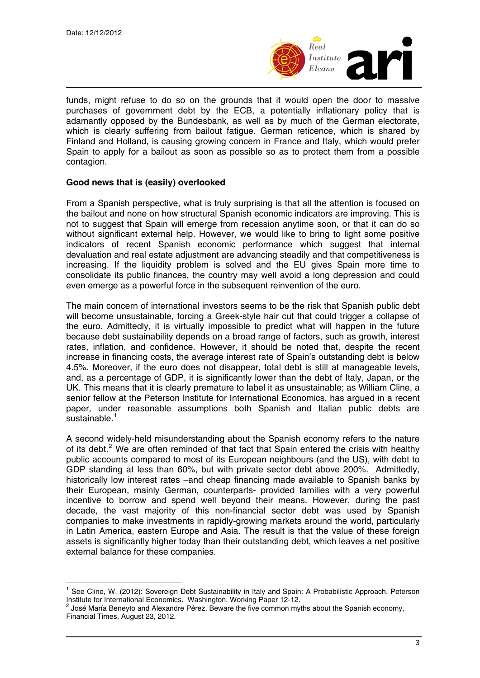

funds, might refuse to do so on the grounds that it would open the door to massive purchases of government debt by the ECB, a potentially inflationary policy that is adamantly opposed by the Bundesbank, as well as by much of the German electorate, which is clearly suffering from bailout fatigue. German reticence, which is shared by Finland and Holland, is causing growing concern in France and Italy, which would prefer Spain to apply for a bailout as soon as possible so as to protect them from a possible contagion.

## **Good news that is (easily) overlooked**

From a Spanish perspective, what is truly surprising is that all the attention is focused on the bailout and none on how structural Spanish economic indicators are improving. This is not to suggest that Spain will emerge from recession anytime soon, or that it can do so without significant external help. However, we would like to bring to light some positive indicators of recent Spanish economic performance which suggest that internal devaluation and real estate adjustment are advancing steadily and that competitiveness is increasing. If the liquidity problem is solved and the EU gives Spain more time to consolidate its public finances, the country may well avoid a long depression and could even emerge as a powerful force in the subsequent reinvention of the euro.

The main concern of international investors seems to be the risk that Spanish public debt will become unsustainable, forcing a Greek-style hair cut that could trigger a collapse of the euro. Admittedly, it is virtually impossible to predict what will happen in the future because debt sustainability depends on a broad range of factors, such as growth, interest rates, inflation, and confidence. However, it should be noted that, despite the recent increase in financing costs, the average interest rate of Spain's outstanding debt is below 4.5%. Moreover, if the euro does not disappear, total debt is still at manageable levels, and, as a percentage of GDP, it is significantly lower than the debt of Italy, Japan, or the UK. This means that it is clearly premature to label it as unsustainable; as William Cline, a senior fellow at the Peterson Institute for International Economics, has argued in a recent paper, under reasonable assumptions both Spanish and Italian public debts are sustainable.<sup>[1](#page-2-0)</sup>

A second widely-held misunderstanding about the Spanish economy refers to the nature of its debt.<sup>[2](#page-2-1)</sup> We are often reminded of that fact that Spain entered the crisis with healthy public accounts compared to most of its European neighbours (and the US), with debt to GDP standing at less than 60%, but with private sector debt above 200%. Admittedly, historically low interest rates –and cheap financing made available to Spanish banks by their European, mainly German, counterparts- provided families with a very powerful incentive to borrow and spend well beyond their means. However, during the past decade, the vast majority of this non-financial sector debt was used by Spanish companies to make investments in rapidly-growing markets around the world, particularly in Latin America, eastern Europe and Asia. The result is that the value of these foreign assets is significantly higher today than their outstanding debt, which leaves a net positive external balance for these companies.

<span id="page-2-0"></span> $\overline{a}$ <sup>1</sup> See Cline, W. (2012): Sovereign Debt Sustainability in Italy and Spain: A Probabilistic Approach. Peterson Institute for International Economics. Washington. Working Paper 12-12.

<span id="page-2-1"></span>José María Beneyto and Alexandre Pérez, Beware the five common myths about the Spanish economy, Financial Times, August 23, 2012.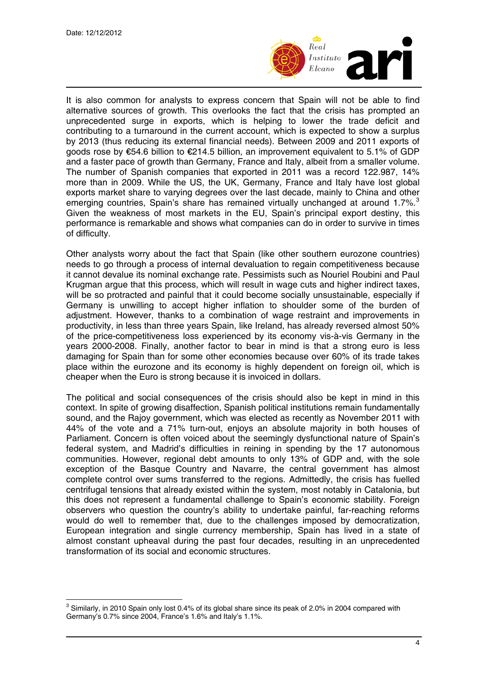$\overline{a}$ 



It is also common for analysts to express concern that Spain will not be able to find alternative sources of growth. This overlooks the fact that the crisis has prompted an unprecedented surge in exports, which is helping to lower the trade deficit and contributing to a turnaround in the current account, which is expected to show a surplus by 2013 (thus reducing its external financial needs). Between 2009 and 2011 exports of goods rose by €54.6 billion to €214.5 billion, an improvement equivalent to 5.1% of GDP and a faster pace of growth than Germany, France and Italy, albeit from a smaller volume. The number of Spanish companies that exported in 2011 was a record 122.987, 14% more than in 2009. While the US, the UK, Germany, France and Italy have lost global exports market share to varying degrees over the last decade, mainly to China and other emerging countries, Spain's share has remained virtually unchanged at around 1.7%.<sup>[3](#page-3-0)</sup> Given the weakness of most markets in the EU, Spain's principal export destiny, this performance is remarkable and shows what companies can do in order to survive in times of difficulty.

Other analysts worry about the fact that Spain (like other southern eurozone countries) needs to go through a process of internal devaluation to regain competitiveness because it cannot devalue its nominal exchange rate. Pessimists such as Nouriel Roubini and Paul Krugman argue that this process, which will result in wage cuts and higher indirect taxes, will be so protracted and painful that it could become socially unsustainable, especially if Germany is unwilling to accept higher inflation to shoulder some of the burden of adjustment. However, thanks to a combination of wage restraint and improvements in productivity, in less than three years Spain, like Ireland, has already reversed almost 50% of the price-competitiveness loss experienced by its economy vis-à-vis Germany in the years 2000-2008. Finally, another factor to bear in mind is that a strong euro is less damaging for Spain than for some other economies because over 60% of its trade takes place within the eurozone and its economy is highly dependent on foreign oil, which is cheaper when the Euro is strong because it is invoiced in dollars.

The political and social consequences of the crisis should also be kept in mind in this context. In spite of growing disaffection, Spanish political institutions remain fundamentally sound, and the Rajoy government, which was elected as recently as November 2011 with 44% of the vote and a 71% turn-out, enjoys an absolute majority in both houses of Parliament. Concern is often voiced about the seemingly dysfunctional nature of Spain's federal system, and Madrid's difficulties in reining in spending by the 17 autonomous communities. However, regional debt amounts to only 13% of GDP and, with the sole exception of the Basque Country and Navarre, the central government has almost complete control over sums transferred to the regions. Admittedly, the crisis has fuelled centrifugal tensions that already existed within the system, most notably in Catalonia, but this does not represent a fundamental challenge to Spain's economic stability. Foreign observers who question the country's ability to undertake painful, far-reaching reforms would do well to remember that, due to the challenges imposed by democratization, European integration and single currency membership, Spain has lived in a state of almost constant upheaval during the past four decades, resulting in an unprecedented transformation of its social and economic structures.

<span id="page-3-0"></span> $^3$  Similarly, in 2010 Spain only lost 0.4% of its global share since its peak of 2.0% in 2004 compared with Germany's 0.7% since 2004, France's 1.6% and Italy's 1.1%.